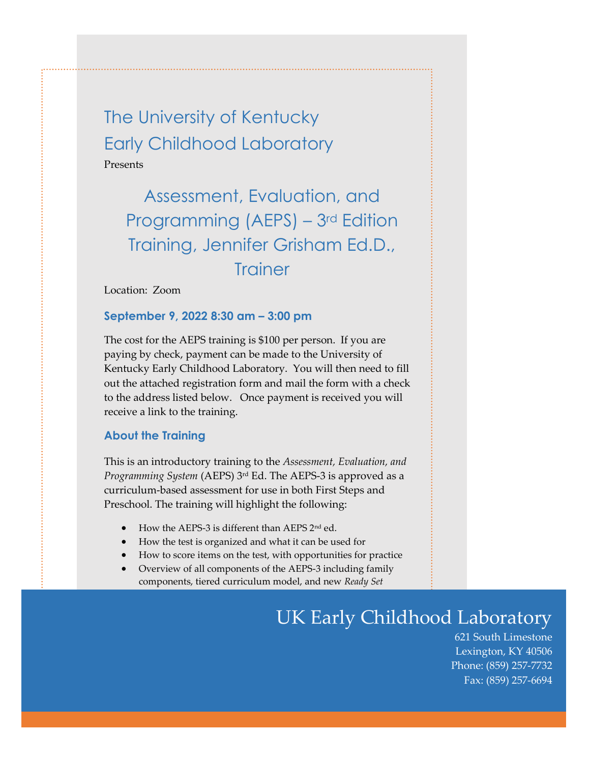The University of Kentucky Early Childhood Laboratory Presents

Assessment, Evaluation, and Programming (AEPS) – 3rd Edition Training, Jennifer Grisham Ed.D., **Trainer** 

Location: Zoom

## **September 9, 2022 8:30 am – 3:00 pm**

The cost for the AEPS training is \$100 per person. If you are paying by check, payment can be made to the University of Kentucky Early Childhood Laboratory. You will then need to fill out the attached registration form and mail the form with a check to the address listed below. Once payment is received you will receive a link to the training.

## **About the Training**

This is an introductory training to the *Assessment, Evaluation, and Programming System* (AEPS) 3 rd Ed. The AEPS-3 is approved as a curriculum-based assessment for use in both First Steps and Preschool. The training will highlight the following:

- How the AEPS-3 is different than AEPS 2nd ed.
- How the test is organized and what it can be used for
- How to score items on the test, with opportunities for practice
- Overview of all components of the AEPS-3 including family components, tiered curriculum model, and new *Ready Set*

## *Note: The AEPS – 3rd edition is due out December, 2021. Programs may continue using the 2nd edition for a period of time. More in depth training on the*  UK Early Childhood Laboratory

621 South Limestone Lexington, KY 40506 Phone: (859) 257-7732 Fax: (859) 257-6694